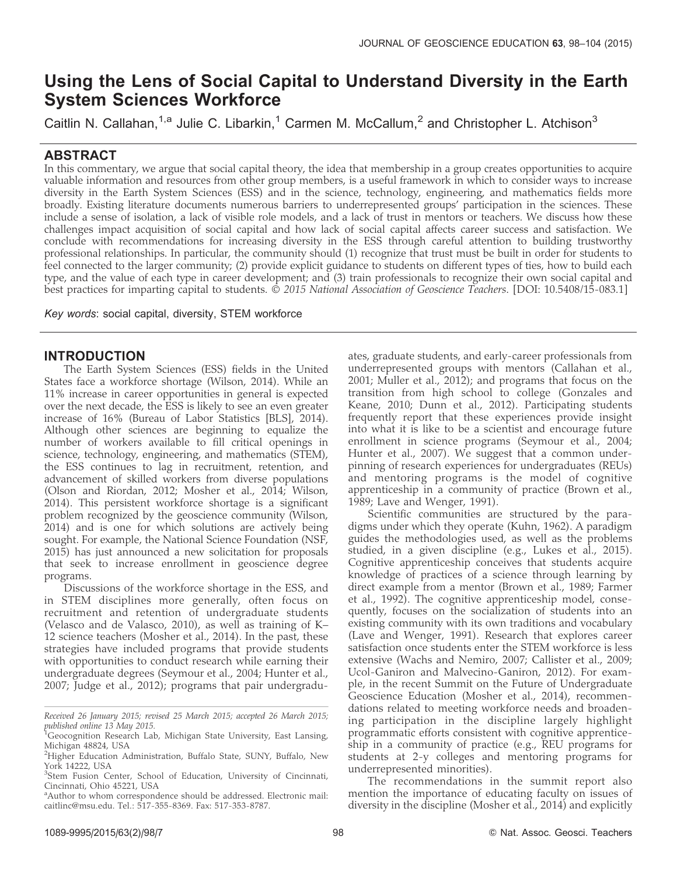# Using the Lens of Social Capital to Understand Diversity in the Earth System Sciences Workforce

Caitlin N. Callahan,<sup>1,a</sup> Julie C. Libarkin,<sup>1</sup> Carmen M. McCallum,<sup>2</sup> and Christopher L. Atchison<sup>3</sup>

## ABSTRACT

In this commentary, we argue that social capital theory, the idea that membership in a group creates opportunities to acquire valuable information and resources from other group members, is a useful framework in which to consider ways to increase diversity in the Earth System Sciences (ESS) and in the science, technology, engineering, and mathematics fields more broadly. Existing literature documents numerous barriers to underrepresented groups' participation in the sciences. These include a sense of isolation, a lack of visible role models, and a lack of trust in mentors or teachers. We discuss how these challenges impact acquisition of social capital and how lack of social capital affects career success and satisfaction. We conclude with recommendations for increasing diversity in the ESS through careful attention to building trustworthy professional relationships. In particular, the community should (1) recognize that trust must be built in order for students to feel connected to the larger community; (2) provide explicit guidance to students on different types of ties, how to build each type, and the value of each type in career development; and (3) train professionals to recognize their own social capital and best practices for imparting capital to students. © 2015 National Association of Geoscience Teachers. [DOI: 10.5408/15-083.1]

Key words: social capital, diversity, STEM workforce

# INTRODUCTION

The Earth System Sciences (ESS) fields in the United States face a workforce shortage (Wilson, 2014). While an 11% increase in career opportunities in general is expected over the next decade, the ESS is likely to see an even greater increase of 16% (Bureau of Labor Statistics [BLS], 2014). Although other sciences are beginning to equalize the number of workers available to fill critical openings in science, technology, engineering, and mathematics (STEM), the ESS continues to lag in recruitment, retention, and advancement of skilled workers from diverse populations (Olson and Riordan, 2012; Mosher et al., 2014; Wilson, 2014). This persistent workforce shortage is a significant problem recognized by the geoscience community (Wilson, 2014) and is one for which solutions are actively being sought. For example, the National Science Foundation (NSF, 2015) has just announced a new solicitation for proposals that seek to increase enrollment in geoscience degree programs.

Discussions of the workforce shortage in the ESS, and in STEM disciplines more generally, often focus on recruitment and retention of undergraduate students (Velasco and de Valasco, 2010), as well as training of K– 12 science teachers (Mosher et al., 2014). In the past, these strategies have included programs that provide students with opportunities to conduct research while earning their undergraduate degrees (Seymour et al., 2004; Hunter et al., 2007; Judge et al., 2012); programs that pair undergraduates, graduate students, and early-career professionals from underrepresented groups with mentors (Callahan et al., 2001; Muller et al., 2012); and programs that focus on the transition from high school to college (Gonzales and Keane, 2010; Dunn et al., 2012). Participating students frequently report that these experiences provide insight into what it is like to be a scientist and encourage future enrollment in science programs (Seymour et al., 2004; Hunter et al., 2007). We suggest that a common underpinning of research experiences for undergraduates (REUs) and mentoring programs is the model of cognitive apprenticeship in a community of practice (Brown et al., 1989; Lave and Wenger, 1991).

Scientific communities are structured by the paradigms under which they operate (Kuhn, 1962). A paradigm guides the methodologies used, as well as the problems studied, in a given discipline (e.g., Lukes et al., 2015). Cognitive apprenticeship conceives that students acquire knowledge of practices of a science through learning by direct example from a mentor (Brown et al., 1989; Farmer et al., 1992). The cognitive apprenticeship model, consequently, focuses on the socialization of students into an existing community with its own traditions and vocabulary (Lave and Wenger, 1991). Research that explores career satisfaction once students enter the STEM workforce is less extensive (Wachs and Nemiro, 2007; Callister et al., 2009; Ucol-Ganiron and Malvecino-Ganiron, 2012). For example, in the recent Summit on the Future of Undergraduate Geoscience Education (Mosher et al., 2014), recommendations related to meeting workforce needs and broadening participation in the discipline largely highlight programmatic efforts consistent with cognitive apprenticeship in a community of practice (e.g., REU programs for students at 2-y colleges and mentoring programs for underrepresented minorities).

The recommendations in the summit report also mention the importance of educating faculty on issues of diversity in the discipline (Mosher et al., 2014) and explicitly

Received 26 January 2015; revised 25 March 2015; accepted 26 March 2015; published online 13 May 2015.

<sup>&</sup>lt;sup>'1</sup>Geocognition Research Lab, Michigan State University, East Lansing, Michigan 48824, USA

<sup>&</sup>lt;sup>2</sup>Higher Education Administration, Buffalo State, SUNY, Buffalo, New York 14222, USA

<sup>&</sup>lt;sup>3</sup>Stem Fusion Center, School of Education, University of Cincinnati, Cincinnati, Ohio 45221, USA

<sup>&</sup>lt;sup>a</sup> Author to whom correspondence should be addressed. Electronic mail: caitlinc@msu.edu. Tel.: 517-355-8369. Fax: 517-353-8787.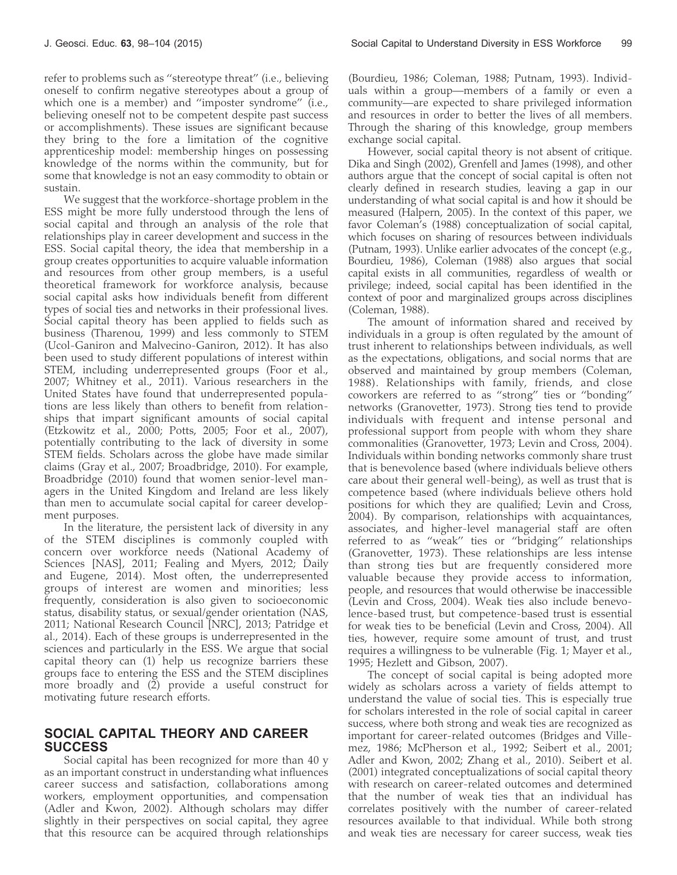refer to problems such as ''stereotype threat'' (i.e., believing oneself to confirm negative stereotypes about a group of which one is a member) and ''imposter syndrome'' (i.e., believing oneself not to be competent despite past success or accomplishments). These issues are significant because they bring to the fore a limitation of the cognitive apprenticeship model: membership hinges on possessing knowledge of the norms within the community, but for some that knowledge is not an easy commodity to obtain or sustain.

We suggest that the workforce-shortage problem in the ESS might be more fully understood through the lens of social capital and through an analysis of the role that relationships play in career development and success in the ESS. Social capital theory, the idea that membership in a group creates opportunities to acquire valuable information and resources from other group members, is a useful theoretical framework for workforce analysis, because social capital asks how individuals benefit from different types of social ties and networks in their professional lives. Social capital theory has been applied to fields such as business (Tharenou, 1999) and less commonly to STEM (Ucol-Ganiron and Malvecino-Ganiron, 2012). It has also been used to study different populations of interest within STEM, including underrepresented groups (Foor et al., 2007; Whitney et al., 2011). Various researchers in the United States have found that underrepresented populations are less likely than others to benefit from relationships that impart significant amounts of social capital (Etzkowitz et al., 2000; Potts, 2005; Foor et al., 2007), potentially contributing to the lack of diversity in some STEM fields. Scholars across the globe have made similar claims (Gray et al., 2007; Broadbridge, 2010). For example, Broadbridge (2010) found that women senior-level managers in the United Kingdom and Ireland are less likely than men to accumulate social capital for career development purposes.

In the literature, the persistent lack of diversity in any of the STEM disciplines is commonly coupled with concern over workforce needs (National Academy of Sciences [NAS], 2011; Fealing and Myers, 2012; Daily and Eugene, 2014). Most often, the underrepresented groups of interest are women and minorities; less frequently, consideration is also given to socioeconomic status, disability status, or sexual/gender orientation (NAS, 2011; National Research Council [NRC], 2013; Patridge et al., 2014). Each of these groups is underrepresented in the sciences and particularly in the ESS. We argue that social capital theory can (1) help us recognize barriers these groups face to entering the ESS and the STEM disciplines more broadly and (2) provide a useful construct for motivating future research efforts.

## SOCIAL CAPITAL THEORY AND CAREER **SUCCESS**

Social capital has been recognized for more than 40 y as an important construct in understanding what influences career success and satisfaction, collaborations among workers, employment opportunities, and compensation (Adler and Kwon, 2002). Although scholars may differ slightly in their perspectives on social capital, they agree that this resource can be acquired through relationships

(Bourdieu, 1986; Coleman, 1988; Putnam, 1993). Individuals within a group—members of a family or even a community—are expected to share privileged information and resources in order to better the lives of all members. Through the sharing of this knowledge, group members exchange social capital.

However, social capital theory is not absent of critique. Dika and Singh (2002), Grenfell and James (1998), and other authors argue that the concept of social capital is often not clearly defined in research studies, leaving a gap in our understanding of what social capital is and how it should be measured (Halpern, 2005). In the context of this paper, we favor Coleman's (1988) conceptualization of social capital, which focuses on sharing of resources between individuals (Putnam, 1993). Unlike earlier advocates of the concept (e.g., Bourdieu, 1986), Coleman (1988) also argues that social capital exists in all communities, regardless of wealth or privilege; indeed, social capital has been identified in the context of poor and marginalized groups across disciplines (Coleman, 1988).

The amount of information shared and received by individuals in a group is often regulated by the amount of trust inherent to relationships between individuals, as well as the expectations, obligations, and social norms that are observed and maintained by group members (Coleman, 1988). Relationships with family, friends, and close coworkers are referred to as ''strong'' ties or ''bonding'' networks (Granovetter, 1973). Strong ties tend to provide individuals with frequent and intense personal and professional support from people with whom they share commonalities (Granovetter, 1973; Levin and Cross, 2004). Individuals within bonding networks commonly share trust that is benevolence based (where individuals believe others care about their general well-being), as well as trust that is competence based (where individuals believe others hold positions for which they are qualified; Levin and Cross, 2004). By comparison, relationships with acquaintances, associates, and higher-level managerial staff are often referred to as ''weak'' ties or ''bridging'' relationships (Granovetter, 1973). These relationships are less intense than strong ties but are frequently considered more valuable because they provide access to information, people, and resources that would otherwise be inaccessible (Levin and Cross, 2004). Weak ties also include benevolence-based trust, but competence-based trust is essential for weak ties to be beneficial (Levin and Cross, 2004). All ties, however, require some amount of trust, and trust requires a willingness to be vulnerable (Fig. 1; Mayer et al., 1995; Hezlett and Gibson, 2007).

The concept of social capital is being adopted more widely as scholars across a variety of fields attempt to understand the value of social ties. This is especially true for scholars interested in the role of social capital in career success, where both strong and weak ties are recognized as important for career-related outcomes (Bridges and Villemez, 1986; McPherson et al., 1992; Seibert et al., 2001; Adler and Kwon, 2002; Zhang et al., 2010). Seibert et al. (2001) integrated conceptualizations of social capital theory with research on career-related outcomes and determined that the number of weak ties that an individual has correlates positively with the number of career-related resources available to that individual. While both strong and weak ties are necessary for career success, weak ties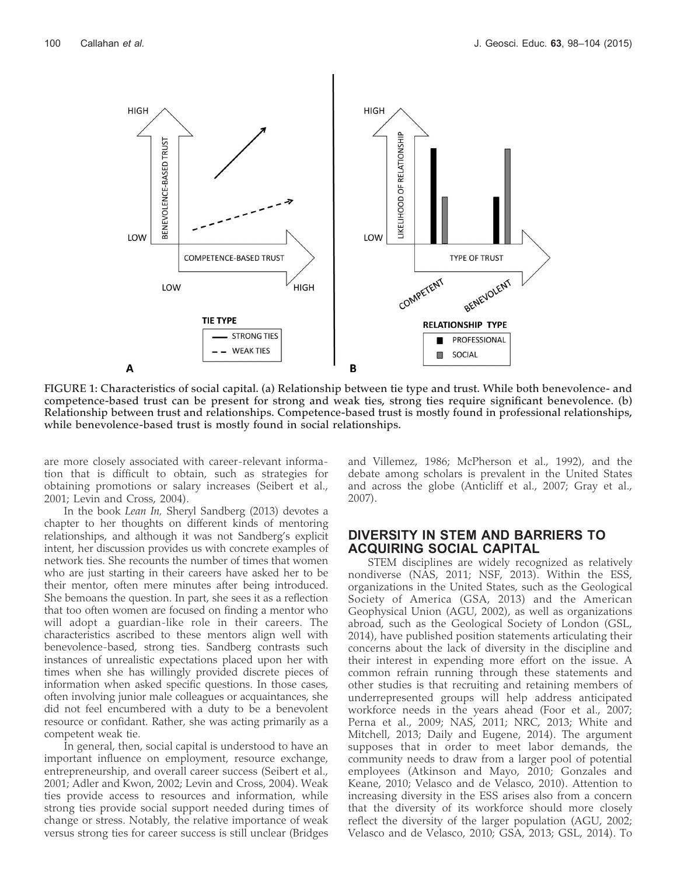

FIGURE 1: Characteristics of social capital. (a) Relationship between tie type and trust. While both benevolence- and competence-based trust can be present for strong and weak ties, strong ties require significant benevolence. (b) Relationship between trust and relationships. Competence-based trust is mostly found in professional relationships, while benevolence-based trust is mostly found in social relationships.

are more closely associated with career-relevant information that is difficult to obtain, such as strategies for obtaining promotions or salary increases (Seibert et al., 2001; Levin and Cross, 2004).

In the book Lean In, Sheryl Sandberg (2013) devotes a chapter to her thoughts on different kinds of mentoring relationships, and although it was not Sandberg's explicit intent, her discussion provides us with concrete examples of network ties. She recounts the number of times that women who are just starting in their careers have asked her to be their mentor, often mere minutes after being introduced. She bemoans the question. In part, she sees it as a reflection that too often women are focused on finding a mentor who will adopt a guardian-like role in their careers. The characteristics ascribed to these mentors align well with benevolence-based, strong ties. Sandberg contrasts such instances of unrealistic expectations placed upon her with times when she has willingly provided discrete pieces of information when asked specific questions. In those cases, often involving junior male colleagues or acquaintances, she did not feel encumbered with a duty to be a benevolent resource or confidant. Rather, she was acting primarily as a competent weak tie.

In general, then, social capital is understood to have an important influence on employment, resource exchange, entrepreneurship, and overall career success (Seibert et al., 2001; Adler and Kwon, 2002; Levin and Cross, 2004). Weak ties provide access to resources and information, while strong ties provide social support needed during times of change or stress. Notably, the relative importance of weak versus strong ties for career success is still unclear (Bridges

and Villemez, 1986; McPherson et al., 1992), and the debate among scholars is prevalent in the United States and across the globe (Anticliff et al., 2007; Gray et al., 2007).

#### DIVERSITY IN STEM AND BARRIERS TO ACQUIRING SOCIAL CAPITAL

STEM disciplines are widely recognized as relatively nondiverse (NAS, 2011; NSF, 2013). Within the ESS, organizations in the United States, such as the Geological Society of America (GSA, 2013) and the American Geophysical Union (AGU, 2002), as well as organizations abroad, such as the Geological Society of London (GSL, 2014), have published position statements articulating their concerns about the lack of diversity in the discipline and their interest in expending more effort on the issue. A common refrain running through these statements and other studies is that recruiting and retaining members of underrepresented groups will help address anticipated workforce needs in the years ahead (Foor et al., 2007; Perna et al., 2009; NAS, 2011; NRC, 2013; White and Mitchell, 2013; Daily and Eugene, 2014). The argument supposes that in order to meet labor demands, the community needs to draw from a larger pool of potential employees (Atkinson and Mayo, 2010; Gonzales and Keane, 2010; Velasco and de Velasco, 2010). Attention to increasing diversity in the ESS arises also from a concern that the diversity of its workforce should more closely reflect the diversity of the larger population (AGU, 2002; Velasco and de Velasco, 2010; GSA, 2013; GSL, 2014). To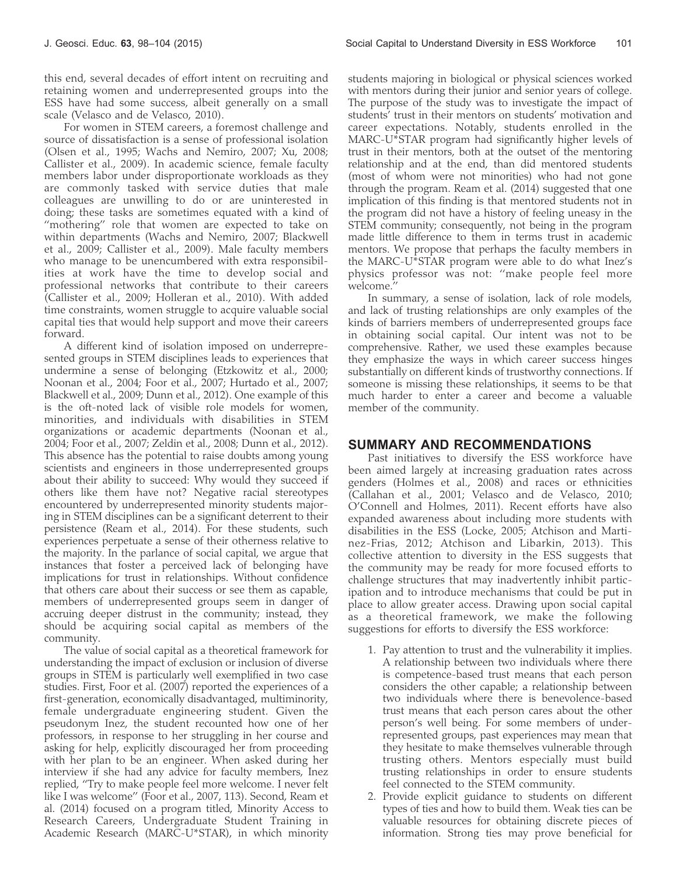this end, several decades of effort intent on recruiting and retaining women and underrepresented groups into the ESS have had some success, albeit generally on a small scale (Velasco and de Velasco, 2010).

For women in STEM careers, a foremost challenge and source of dissatisfaction is a sense of professional isolation (Olsen et al., 1995; Wachs and Nemiro, 2007; Xu, 2008; Callister et al., 2009). In academic science, female faculty members labor under disproportionate workloads as they are commonly tasked with service duties that male colleagues are unwilling to do or are uninterested in doing; these tasks are sometimes equated with a kind of "mothering" role that women are expected to take on within departments (Wachs and Nemiro, 2007; Blackwell et al., 2009; Callister et al., 2009). Male faculty members who manage to be unencumbered with extra responsibilities at work have the time to develop social and professional networks that contribute to their careers (Callister et al., 2009; Holleran et al., 2010). With added time constraints, women struggle to acquire valuable social capital ties that would help support and move their careers forward.

A different kind of isolation imposed on underrepresented groups in STEM disciplines leads to experiences that undermine a sense of belonging (Etzkowitz et al., 2000; Noonan et al., 2004; Foor et al., 2007; Hurtado et al., 2007; Blackwell et al., 2009; Dunn et al., 2012). One example of this is the oft-noted lack of visible role models for women, minorities, and individuals with disabilities in STEM organizations or academic departments (Noonan et al., 2004; Foor et al., 2007; Zeldin et al., 2008; Dunn et al., 2012). This absence has the potential to raise doubts among young scientists and engineers in those underrepresented groups about their ability to succeed: Why would they succeed if others like them have not? Negative racial stereotypes encountered by underrepresented minority students majoring in STEM disciplines can be a significant deterrent to their persistence (Ream et al., 2014). For these students, such experiences perpetuate a sense of their otherness relative to the majority. In the parlance of social capital, we argue that instances that foster a perceived lack of belonging have implications for trust in relationships. Without confidence that others care about their success or see them as capable, members of underrepresented groups seem in danger of accruing deeper distrust in the community; instead, they should be acquiring social capital as members of the community.

The value of social capital as a theoretical framework for understanding the impact of exclusion or inclusion of diverse groups in STEM is particularly well exemplified in two case studies. First, Foor et al. (2007) reported the experiences of a first-generation, economically disadvantaged, multiminority, female undergraduate engineering student. Given the pseudonym Inez, the student recounted how one of her professors, in response to her struggling in her course and asking for help, explicitly discouraged her from proceeding with her plan to be an engineer. When asked during her interview if she had any advice for faculty members, Inez replied, ''Try to make people feel more welcome. I never felt like I was welcome'' (Foor et al., 2007, 113). Second, Ream et al. (2014) focused on a program titled, Minority Access to Research Careers, Undergraduate Student Training in Academic Research (MARC-U\*STAR), in which minority

students majoring in biological or physical sciences worked with mentors during their junior and senior years of college. The purpose of the study was to investigate the impact of students' trust in their mentors on students' motivation and career expectations. Notably, students enrolled in the MARC-U\*STAR program had significantly higher levels of trust in their mentors, both at the outset of the mentoring relationship and at the end, than did mentored students (most of whom were not minorities) who had not gone through the program. Ream et al. (2014) suggested that one implication of this finding is that mentored students not in the program did not have a history of feeling uneasy in the STEM community; consequently, not being in the program made little difference to them in terms trust in academic mentors. We propose that perhaps the faculty members in the MARC-U\*STAR program were able to do what Inez's physics professor was not: ''make people feel more welcome.''

In summary, a sense of isolation, lack of role models, and lack of trusting relationships are only examples of the kinds of barriers members of underrepresented groups face in obtaining social capital. Our intent was not to be comprehensive. Rather, we used these examples because they emphasize the ways in which career success hinges substantially on different kinds of trustworthy connections. If someone is missing these relationships, it seems to be that much harder to enter a career and become a valuable member of the community.

#### SUMMARY AND RECOMMENDATIONS

Past initiatives to diversify the ESS workforce have been aimed largely at increasing graduation rates across genders (Holmes et al., 2008) and races or ethnicities (Callahan et al., 2001; Velasco and de Velasco, 2010; O'Connell and Holmes, 2011). Recent efforts have also expanded awareness about including more students with disabilities in the ESS (Locke, 2005; Atchison and Martinez-Frias, 2012; Atchison and Libarkin, 2013). This collective attention to diversity in the ESS suggests that the community may be ready for more focused efforts to challenge structures that may inadvertently inhibit participation and to introduce mechanisms that could be put in place to allow greater access. Drawing upon social capital as a theoretical framework, we make the following suggestions for efforts to diversify the ESS workforce:

- 1. Pay attention to trust and the vulnerability it implies. A relationship between two individuals where there is competence-based trust means that each person considers the other capable; a relationship between two individuals where there is benevolence-based trust means that each person cares about the other person's well being. For some members of underrepresented groups, past experiences may mean that they hesitate to make themselves vulnerable through trusting others. Mentors especially must build trusting relationships in order to ensure students feel connected to the STEM community.
- 2. Provide explicit guidance to students on different types of ties and how to build them. Weak ties can be valuable resources for obtaining discrete pieces of information. Strong ties may prove beneficial for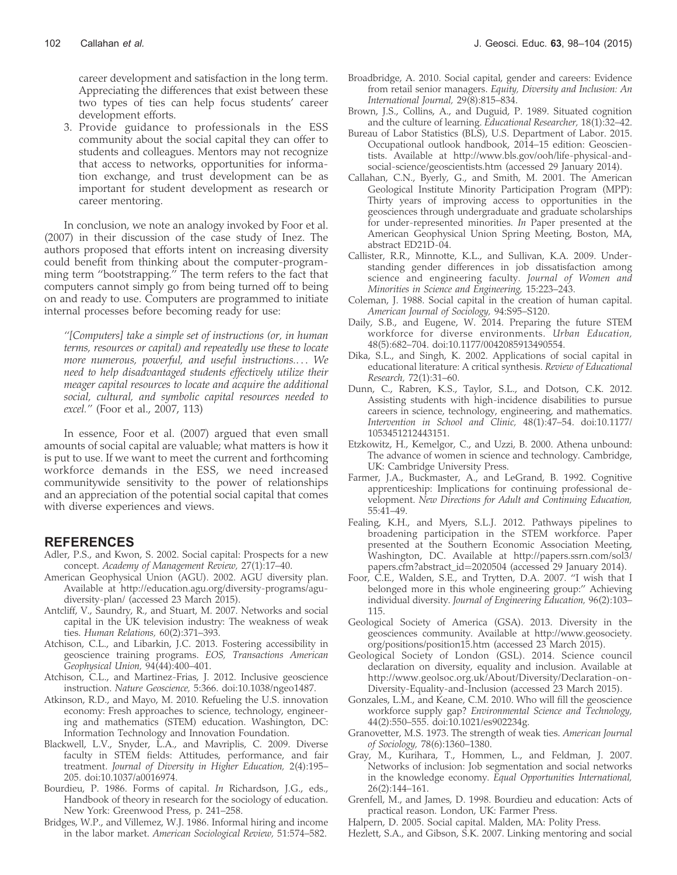career development and satisfaction in the long term. Appreciating the differences that exist between these two types of ties can help focus students' career development efforts.

3. Provide guidance to professionals in the ESS community about the social capital they can offer to students and colleagues. Mentors may not recognize that access to networks, opportunities for information exchange, and trust development can be as important for student development as research or career mentoring.

In conclusion, we note an analogy invoked by Foor et al. (2007) in their discussion of the case study of Inez. The authors proposed that efforts intent on increasing diversity could benefit from thinking about the computer-programming term ''bootstrapping.'' The term refers to the fact that computers cannot simply go from being turned off to being on and ready to use. Computers are programmed to initiate internal processes before becoming ready for use:

''[Computers] take a simple set of instructions (or, in human terms, resources or capital) and repeatedly use these to locate more numerous, powerful, and useful instructions.... We need to help disadvantaged students effectively utilize their meager capital resources to locate and acquire the additional social, cultural, and symbolic capital resources needed to excel.'' (Foor et al., 2007, 113)

In essence, Foor et al. (2007) argued that even small amounts of social capital are valuable; what matters is how it is put to use. If we want to meet the current and forthcoming workforce demands in the ESS, we need increased communitywide sensitivity to the power of relationships and an appreciation of the potential social capital that comes with diverse experiences and views.

## **REFERENCES**

- Adler, P.S., and Kwon, S. 2002. Social capital: Prospects for a new concept. Academy of Management Review, 27(1):17–40.
- American Geophysical Union (AGU). 2002. AGU diversity plan. Available at http://education.agu.org/diversity-programs/agudiversity-plan/ (accessed 23 March 2015).
- Antcliff, V., Saundry, R., and Stuart, M. 2007. Networks and social capital in the UK television industry: The weakness of weak ties. Human Relations, 60(2):371–393.
- Atchison, C.L., and Libarkin, J.C. 2013. Fostering accessibility in geoscience training programs. EOS, Transactions American Geophysical Union, 94(44):400–401.
- Atchison, C.L., and Martinez-Frias, J. 2012. Inclusive geoscience instruction. Nature Geoscience, 5:366. doi:10.1038/ngeo1487.
- Atkinson, R.D., and Mayo, M. 2010. Refueling the U.S. innovation economy: Fresh approaches to science, technology, engineering and mathematics (STEM) education. Washington, DC: Information Technology and Innovation Foundation.
- Blackwell, L.V., Snyder, L.A., and Mavriplis, C. 2009. Diverse faculty in STEM fields: Attitudes, performance, and fair treatment. Journal of Diversity in Higher Education, 2(4):195– 205. doi:10.1037/a0016974.
- Bourdieu, P. 1986. Forms of capital. In Richardson, J.G., eds., Handbook of theory in research for the sociology of education. New York: Greenwood Press, p. 241–258.
- Bridges, W.P., and Villemez, W.J. 1986. Informal hiring and income in the labor market. American Sociological Review, 51:574–582.
- Broadbridge, A. 2010. Social capital, gender and careers: Evidence from retail senior managers. Equity, Diversity and Inclusion: An International Journal, 29(8):815–834.
- Brown, J.S., Collins, A., and Duguid, P. 1989. Situated cognition and the culture of learning. Educational Researcher, 18(1):32–42.
- Bureau of Labor Statistics (BLS), U.S. Department of Labor. 2015. Occupational outlook handbook, 2014–15 edition: Geoscientists. Available at http://www.bls.gov/ooh/life-physical-andsocial-science/geoscientists.htm (accessed 29 January 2014).
- Callahan, C.N., Byerly, G., and Smith, M. 2001. The American Geological Institute Minority Participation Program (MPP): Thirty years of improving access to opportunities in the geosciences through undergraduate and graduate scholarships for under-represented minorities. In Paper presented at the American Geophysical Union Spring Meeting, Boston, MA, abstract ED21D-04.
- Callister, R.R., Minnotte, K.L., and Sullivan, K.A. 2009. Understanding gender differences in job dissatisfaction among science and engineering faculty. Journal of Women and Minorities in Science and Engineering, 15:223–243.
- Coleman, J. 1988. Social capital in the creation of human capital. American Journal of Sociology, 94:S95–S120.
- Daily, S.B., and Eugene, W. 2014. Preparing the future STEM workforce for diverse environments. Urban Education, 48(5):682–704. doi:10.1177/0042085913490554.
- Dika, S.L., and Singh, K. 2002. Applications of social capital in educational literature: A critical synthesis. Review of Educational Research, 72(1):31–60.
- Dunn, C., Rabren, K.S., Taylor, S.L., and Dotson, C.K. 2012. Assisting students with high-incidence disabilities to pursue careers in science, technology, engineering, and mathematics. Intervention in School and Clinic, 48(1):47–54. doi:10.1177/ 1053451212443151.
- Etzkowitz, H., Kemelgor, C., and Uzzi, B. 2000. Athena unbound: The advance of women in science and technology. Cambridge, UK: Cambridge University Press.
- Farmer, J.A., Buckmaster, A., and LeGrand, B. 1992. Cognitive apprenticeship: Implications for continuing professional development. New Directions for Adult and Continuing Education, 55:41–49.
- Fealing, K.H., and Myers, S.L.J. 2012. Pathways pipelines to broadening participation in the STEM workforce. Paper presented at the Southern Economic Association Meeting, Washington, DC. Available at http://papers.ssrn.com/sol3/ papers.cfm?abstract\_id=2020504 (accessed 29 January 2014).
- Foor, C.E., Walden, S.E., and Trytten, D.A. 2007. ''I wish that I belonged more in this whole engineering group:'' Achieving individual diversity. Journal of Engineering Education, 96(2):103– 115.
- Geological Society of America (GSA). 2013. Diversity in the geosciences community. Available at http://www.geosociety. org/positions/position15.htm (accessed 23 March 2015).
- Geological Society of London (GSL). 2014. Science council declaration on diversity, equality and inclusion. Available at http://www.geolsoc.org.uk/About/Diversity/Declaration-on-Diversity-Equality-and-Inclusion (accessed 23 March 2015).
- Gonzales, L.M., and Keane, C.M. 2010. Who will fill the geoscience workforce supply gap? Environmental Science and Technology, 44(2):550–555. doi:10.1021/es902234g.
- Granovetter, M.S. 1973. The strength of weak ties. American Journal of Sociology, 78(6):1360–1380.
- Gray, M., Kurihara, T., Hommen, L., and Feldman, J. 2007. Networks of inclusion: Job segmentation and social networks in the knowledge economy. Equal Opportunities International, 26(2):144–161.
- Grenfell, M., and James, D. 1998. Bourdieu and education: Acts of practical reason. London, UK: Farmer Press.
- Halpern, D. 2005. Social capital. Malden, MA: Polity Press.
- Hezlett, S.A., and Gibson, S.K. 2007. Linking mentoring and social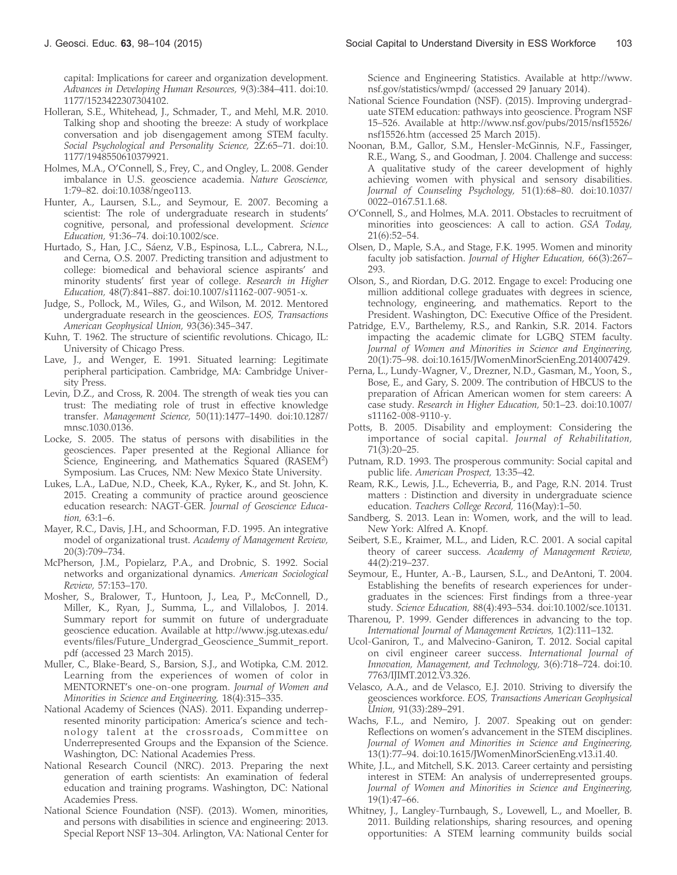capital: Implications for career and organization development. Advances in Developing Human Resources, 9(3):384–411. doi:10. 1177/1523422307304102.

- Holleran, S.E., Whitehead, J., Schmader, T., and Mehl, M.R. 2010. Talking shop and shooting the breeze: A study of workplace conversation and job disengagement among STEM faculty. Social Psychological and Personality Science, 2Z:65–71. doi:10. 1177/1948550610379921.
- Holmes, M.A., O'Connell, S., Frey, C., and Ongley, L. 2008. Gender imbalance in U.S. geoscience academia. Nature Geoscience, 1:79–82. doi:10.1038/ngeo113.
- Hunter, A., Laursen, S.L., and Seymour, E. 2007. Becoming a scientist: The role of undergraduate research in students' cognitive, personal, and professional development. Science Education, 91:36–74. doi:10.1002/sce.
- Hurtado, S., Han, J.C., Sáenz, V.B., Espinosa, L.L., Cabrera, N.L., and Cerna, O.S. 2007. Predicting transition and adjustment to college: biomedical and behavioral science aspirants' and minority students' first year of college. Research in Higher Education, 48(7):841–887. doi:10.1007/s11162-007-9051-x.
- Judge, S., Pollock, M., Wiles, G., and Wilson, M. 2012. Mentored undergraduate research in the geosciences. EOS, Transactions American Geophysical Union, 93(36):345–347.
- Kuhn, T. 1962. The structure of scientific revolutions. Chicago, IL: University of Chicago Press.
- Lave, J., and Wenger, E. 1991. Situated learning: Legitimate peripheral participation. Cambridge, MA: Cambridge University Press.
- Levin, D.Z., and Cross, R. 2004. The strength of weak ties you can trust: The mediating role of trust in effective knowledge transfer. Management Science, 50(11):1477–1490. doi:10.1287/ mnsc.1030.0136.
- Locke, S. 2005. The status of persons with disabilities in the geosciences. Paper presented at the Regional Alliance for Science, Engineering, and Mathematics Squared (RASEM<sup>2</sup>) Symposium. Las Cruces, NM: New Mexico State University.
- Lukes, L.A., LaDue, N.D., Cheek, K.A., Ryker, K., and St. John, K. 2015. Creating a community of practice around geoscience education research: NAGT-GER. Journal of Geoscience Education, 63:1–6.
- Mayer, R.C., Davis, J.H., and Schoorman, F.D. 1995. An integrative model of organizational trust. Academy of Management Review, 20(3):709–734.
- McPherson, J.M., Popielarz, P.A., and Drobnic, S. 1992. Social networks and organizational dynamics. American Sociological Review, 57:153–170.
- Mosher, S., Bralower, T., Huntoon, J., Lea, P., McConnell, D., Miller, K., Ryan, J., Summa, L., and Villalobos, J. 2014. Summary report for summit on future of undergraduate geoscience education. Available at http://www.jsg.utexas.edu/ events/files/Future\_Undergrad\_Geoscience\_Summit\_report. pdf (accessed 23 March 2015).
- Muller, C., Blake-Beard, S., Barsion, S.J., and Wotipka, C.M. 2012. Learning from the experiences of women of color in MENTORNET's one-on-one program. Journal of Women and Minorities in Science and Engineering, 18(4):315–335.
- National Academy of Sciences (NAS). 2011. Expanding underrepresented minority participation: America's science and technology talent at the crossroads, Committee on Underrepresented Groups and the Expansion of the Science. Washington, DC: National Academies Press.
- National Research Council (NRC). 2013. Preparing the next generation of earth scientists: An examination of federal education and training programs. Washington, DC: National Academies Press.
- National Science Foundation (NSF). (2013). Women, minorities, and persons with disabilities in science and engineering: 2013. Special Report NSF 13–304. Arlington, VA: National Center for

Science and Engineering Statistics. Available at http://www. nsf.gov/statistics/wmpd/ (accessed 29 January 2014).

- National Science Foundation (NSF). (2015). Improving undergraduate STEM education: pathways into geoscience. Program NSF 15–526. Available at http://www.nsf.gov/pubs/2015/nsf15526/ nsf15526.htm (accessed 25 March 2015).
- Noonan, B.M., Gallor, S.M., Hensler-McGinnis, N.F., Fassinger, R.E., Wang, S., and Goodman, J. 2004. Challenge and success: A qualitative study of the career development of highly achieving women with physical and sensory disabilities. Journal of Counseling Psychology, 51(1):68–80. doi:10.1037/ 0022–0167.51.1.68.
- O'Connell, S., and Holmes, M.A. 2011. Obstacles to recruitment of minorities into geosciences: A call to action. GSA Today, 21(6):52–54.
- Olsen, D., Maple, S.A., and Stage, F.K. 1995. Women and minority faculty job satisfaction. Journal of Higher Education, 66(3):267– 293.
- Olson, S., and Riordan, D.G. 2012. Engage to excel: Producing one million additional college graduates with degrees in science, technology, engineering, and mathematics. Report to the President. Washington, DC: Executive Office of the President.
- Patridge, E.V., Barthelemy, R.S., and Rankin, S.R. 2014. Factors impacting the academic climate for LGBQ STEM faculty. Journal of Women and Minorities in Science and Engineering, 20(1):75–98. doi:10.1615/JWomenMinorScienEng.2014007429.
- Perna, L., Lundy-Wagner, V., Drezner, N.D., Gasman, M., Yoon, S., Bose, E., and Gary, S. 2009. The contribution of HBCUS to the preparation of African American women for stem careers: A case study. Research in Higher Education, 50:1–23. doi:10.1007/ s11162-008-9110-y.
- Potts, B. 2005. Disability and employment: Considering the importance of social capital. Journal of Rehabilitation, 71(3):20–25.
- Putnam, R.D. 1993. The prosperous community: Social capital and public life. American Prospect, 13:35–42.
- Ream, R.K., Lewis, J.L., Echeverria, B., and Page, R.N. 2014. Trust matters : Distinction and diversity in undergraduate science education. Teachers College Record, 116(May):1–50.
- Sandberg, S. 2013. Lean in: Women, work, and the will to lead. New York: Alfred A. Knopf.
- Seibert, S.E., Kraimer, M.L., and Liden, R.C. 2001. A social capital theory of career success. Academy of Management Review, 44(2):219–237.
- Seymour, E., Hunter, A.-B., Laursen, S.L., and DeAntoni, T. 2004. Establishing the benefits of research experiences for undergraduates in the sciences: First findings from a three-year study. Science Education, 88(4):493–534. doi:10.1002/sce.10131.
- Tharenou, P. 1999. Gender differences in advancing to the top. International Journal of Management Reviews, 1(2):111–132.
- Ucol-Ganiron, T., and Malvecino-Ganiron, T. 2012. Social capital on civil engineer career success. International Journal of Innovation, Management, and Technology, 3(6):718–724. doi:10. 7763/IJIMT.2012.V3.326.
- Velasco, A.A., and de Velasco, E.J. 2010. Striving to diversify the geosciences workforce. EOS, Transactions American Geophysical Union, 91(33):289–291.
- Wachs, F.L., and Nemiro, J. 2007. Speaking out on gender: Reflections on women's advancement in the STEM disciplines. Journal of Women and Minorities in Science and Engineering, 13(1):77–94. doi:10.1615/JWomenMinorScienEng.v13.i1.40.
- White, J.L., and Mitchell, S.K. 2013. Career certainty and persisting interest in STEM: An analysis of underrepresented groups. Journal of Women and Minorities in Science and Engineering, 19(1):47–66.
- Whitney, J., Langley-Turnbaugh, S., Lovewell, L., and Moeller, B. 2011. Building relationships, sharing resources, and opening opportunities: A STEM learning community builds social